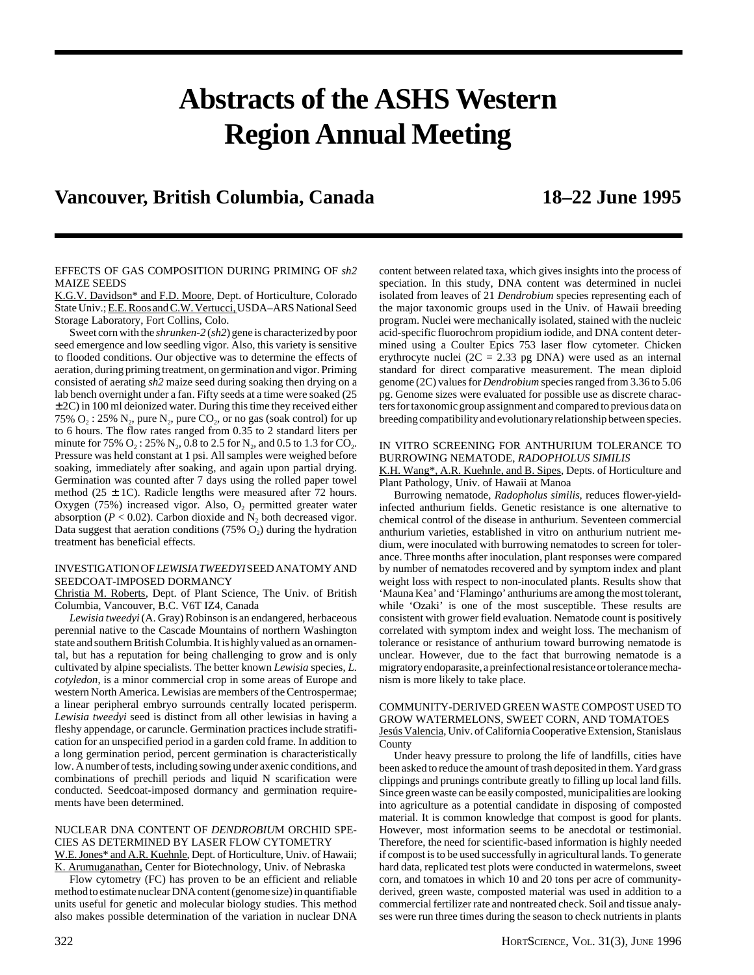# **Abstracts of the ASHS Western Region Annual Meeting**

# **Vancouver, British Columbia, Canada 18–22 June 1995**

#### EFFECTS OF GAS COMPOSITION DURING PRIMING OF *sh2* MAIZE SEEDS

K.G.V. Davidson\* and F.D. Moore, Dept. of Horticulture, Colorado State Univ.; E.E. Roos and C.W. Vertucci, USDA–ARS National Seed Storage Laboratory, Fort Collins, Colo.

Sweet corn with the *shrunken-2* (*sh2*) gene is characterized by poor seed emergence and low seedling vigor. Also, this variety is sensitive to flooded conditions. Our objective was to determine the effects of aeration, during priming treatment, on germination and vigor. Priming consisted of aerating *sh2* maize seed during soaking then drying on a lab bench overnight under a fan. Fifty seeds at a time were soaked (25  $\pm$  2C) in 100 ml deionized water. During this time they received either 75%  $O_2$ : 25%  $N_2$ , pure  $N_2$ , pure  $CO_2$ , or no gas (soak control) for up to 6 hours. The flow rates ranged from 0.35 to 2 standard liters per minute for 75%  $O_2$ : 25%  $N_2$ , 0.8 to 2.5 for  $N_2$ , and 0.5 to 1.3 for CO<sub>2</sub>. Pressure was held constant at 1 psi. All samples were weighed before soaking, immediately after soaking, and again upon partial drying. Germination was counted after 7 days using the rolled paper towel method (25  $\pm$  1C). Radicle lengths were measured after 72 hours. Oxygen (75%) increased vigor. Also,  $O_2$  permitted greater water absorption ( $P < 0.02$ ). Carbon dioxide and  $N_2$  both decreased vigor. Data suggest that aeration conditions (75%  $O<sub>2</sub>$ ) during the hydration treatment has beneficial effects.

# INVESTIGATION OF *LEWISIA TWEEDYI* SEED ANATOMY AND SEEDCOAT-IMPOSED DORMANCY

Christia M. Roberts, Dept. of Plant Science, The Univ. of British Columbia, Vancouver, B.C. V6T IZ4, Canada

*Lewisia tweedyi* (A. Gray) Robinson is an endangered, herbaceous perennial native to the Cascade Mountains of northern Washington state and southern British Columbia. It is highly valued as an ornamental, but has a reputation for being challenging to grow and is only cultivated by alpine specialists. The better known *Lewisia* species, *L. cotyledon*, is a minor commercial crop in some areas of Europe and western North America. Lewisias are members of the Centrospermae; a linear peripheral embryo surrounds centrally located perisperm. *Lewisia tweedyi* seed is distinct from all other lewisias in having a fleshy appendage, or caruncle. Germination practices include stratification for an unspecified period in a garden cold frame. In addition to a long germination period, percent germination is characteristically low. A number of tests, including sowing under axenic conditions, and combinations of prechill periods and liquid N scarification were conducted. Seedcoat-imposed dormancy and germination requirements have been determined.

#### NUCLEAR DNA CONTENT OF *DENDROBIU*M ORCHID SPE-CIES AS DETERMINED BY LASER FLOW CYTOMETRY W.E. Jones\* and A.R. Kuehnle, Dept. of Horticulture, Univ. of Hawaii; K. Arumuganathan, Center for Biotechnology, Univ. of Nebraska

Flow cytometry (FC) has proven to be an efficient and reliable method to estimate nuclear DNA content (genome size) in quantifiable units useful for genetic and molecular biology studies. This method also makes possible determination of the variation in nuclear DNA

content between related taxa, which gives insights into the process of speciation. In this study, DNA content was determined in nuclei isolated from leaves of 21 *Dendrobium* species representing each of the major taxonomic groups used in the Univ. of Hawaii breeding program. Nuclei were mechanically isolated, stained with the nucleic acid-specific fluorochrom propidium iodide, and DNA content determined using a Coulter Epics 753 laser flow cytometer. Chicken erythrocyte nuclei ( $2C = 2.33$  pg DNA) were used as an internal standard for direct comparative measurement. The mean diploid genome (2C) values for *Dendrobium* species ranged from 3.36 to 5.06 pg. Genome sizes were evaluated for possible use as discrete characters for taxonomic group assignment and compared to previous data on breeding compatibility and evolutionary relationship between species.

#### IN VITRO SCREENING FOR ANTHURIUM TOLERANCE TO BURROWING NEMATODE, *RADOPHOLUS SIMILIS*

K.H. Wang\*, A.R. Kuehnle, and B. Sipes, Depts. of Horticulture and Plant Pathology, Univ. of Hawaii at Manoa

Burrowing nematode, *Radopholus similis*, reduces flower-yieldinfected anthurium fields. Genetic resistance is one alternative to chemical control of the disease in anthurium. Seventeen commercial anthurium varieties, established in vitro on anthurium nutrient medium, were inoculated with burrowing nematodes to screen for tolerance. Three months after inoculation, plant responses were compared by number of nematodes recovered and by symptom index and plant weight loss with respect to non-inoculated plants. Results show that 'Mauna Kea' and 'Flamingo' anthuriums are among the most tolerant, while 'Ozaki' is one of the most susceptible. These results are consistent with grower field evaluation. Nematode count is positively correlated with symptom index and weight loss. The mechanism of tolerance or resistance of anthurium toward burrowing nematode is unclear. However, due to the fact that burrowing nematode is a migratory endoparasite, a preinfectional resistance or tolerance mechanism is more likely to take place.

#### COMMUNITY-DERIVED GREEN WASTE COMPOST USED TO GROW WATERMELONS, SWEET CORN, AND TOMATOES Jesús Valencia, Univ. of California Cooperative Extension, Stanislaus County

Under heavy pressure to prolong the life of landfills, cities have been asked to reduce the amount of trash deposited in them. Yard grass clippings and prunings contribute greatly to filling up local land fills. Since green waste can be easily composted, municipalities are looking into agriculture as a potential candidate in disposing of composted material. It is common knowledge that compost is good for plants. However, most information seems to be anecdotal or testimonial. Therefore, the need for scientific-based information is highly needed if compost is to be used successfully in agricultural lands. To generate hard data, replicated test plots were conducted in watermelons, sweet corn, and tomatoes in which 10 and 20 tons per acre of communityderived, green waste, composted material was used in addition to a commercial fertilizer rate and nontreated check. Soil and tissue analyses were run three times during the season to check nutrients in plants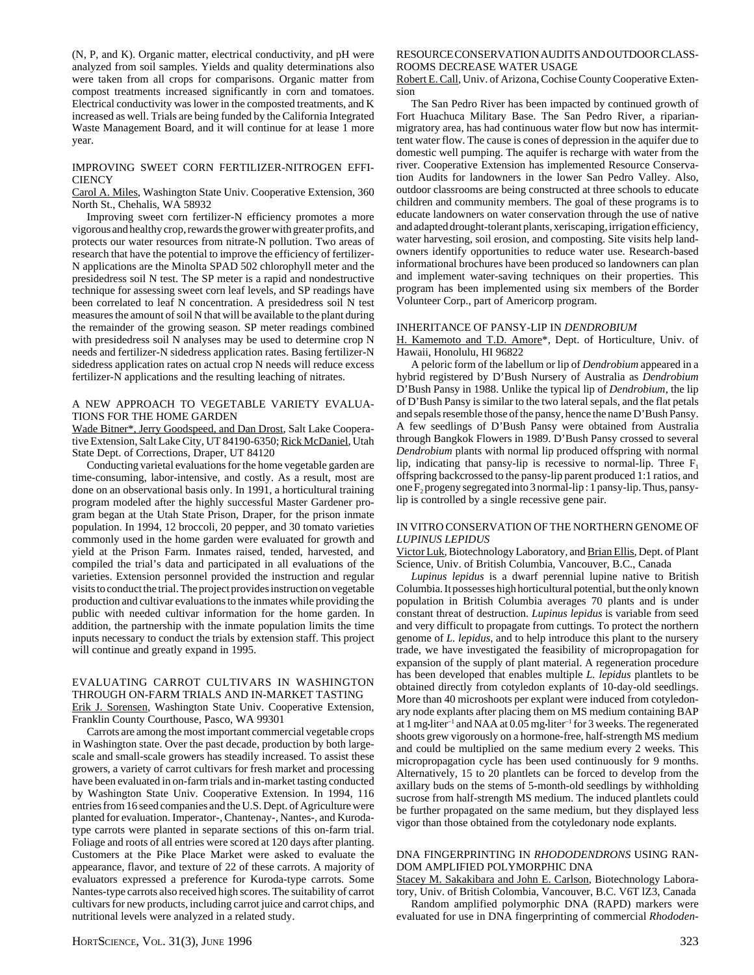(N, P, and K). Organic matter, electrical conductivity, and pH were analyzed from soil samples. Yields and quality determinations also were taken from all crops for comparisons. Organic matter from compost treatments increased significantly in corn and tomatoes. Electrical conductivity was lower in the composted treatments, and K increased as well. Trials are being funded by the California Integrated Waste Management Board, and it will continue for at lease 1 more year.

#### IMPROVING SWEET CORN FERTILIZER-NITROGEN EFFI-**CIENCY**

Carol A. Miles, Washington State Univ. Cooperative Extension, 360 North St., Chehalis, WA 58932

Improving sweet corn fertilizer-N efficiency promotes a more vigorous and healthy crop, rewards the grower with greater profits, and protects our water resources from nitrate-N pollution. Two areas of research that have the potential to improve the efficiency of fertilizer-N applications are the Minolta SPAD 502 chlorophyll meter and the presidedress soil N test. The SP meter is a rapid and nondestructive technique for assessing sweet corn leaf levels, and SP readings have been correlated to leaf N concentration. A presidedress soil N test measures the amount of soil N that will be available to the plant during the remainder of the growing season. SP meter readings combined with presidedress soil N analyses may be used to determine crop N needs and fertilizer-N sidedress application rates. Basing fertilizer-N sidedress application rates on actual crop N needs will reduce excess fertilizer-N applications and the resulting leaching of nitrates.

#### A NEW APPROACH TO VEGETABLE VARIETY EVALUA-TIONS FOR THE HOME GARDEN

Wade Bitner\*, Jerry Goodspeed, and Dan Drost, Salt Lake Cooperative Extension, Salt Lake City, UT 84190-6350; Rick McDaniel, Utah State Dept. of Corrections, Draper, UT 84120

Conducting varietal evaluations for the home vegetable garden are time-consuming, labor-intensive, and costly. As a result, most are done on an observational basis only. In 1991, a horticultural training program modeled after the highly successful Master Gardener program began at the Utah State Prison, Draper, for the prison inmate population. In 1994, 12 broccoli, 20 pepper, and 30 tomato varieties commonly used in the home garden were evaluated for growth and yield at the Prison Farm. Inmates raised, tended, harvested, and compiled the trial's data and participated in all evaluations of the varieties. Extension personnel provided the instruction and regular visits to conduct the trial. The project provides instruction on vegetable production and cultivar evaluations to the inmates while providing the public with needed cultivar information for the home garden. In addition, the partnership with the inmate population limits the time inputs necessary to conduct the trials by extension staff. This project will continue and greatly expand in 1995.

# EVALUATING CARROT CULTIVARS IN WASHINGTON THROUGH ON-FARM TRIALS AND IN-MARKET TASTING Erik J. Sorensen, Washington State Univ. Cooperative Extension, Franklin County Courthouse, Pasco, WA 99301

Carrots are among the most important commercial vegetable crops in Washington state. Over the past decade, production by both largescale and small-scale growers has steadily increased. To assist these growers, a variety of carrot cultivars for fresh market and processing have been evaluated in on-farm trials and in-market tasting conducted by Washington State Univ. Cooperative Extension. In 1994, 116 entries from 16 seed companies and the U.S. Dept. of Agriculture were planted for evaluation. Imperator-, Chantenay-, Nantes-, and Kurodatype carrots were planted in separate sections of this on-farm trial. Foliage and roots of all entries were scored at 120 days after planting. Customers at the Pike Place Market were asked to evaluate the appearance, flavor, and texture of 22 of these carrots. A majority of evaluators expressed a preference for Kuroda-type carrots. Some Nantes-type carrots also received high scores. The suitability of carrot cultivars for new products, including carrot juice and carrot chips, and nutritional levels were analyzed in a related study.

# RESOURCE CONSERVATION AUDITS AND OUTDOOR CLASS-ROOMS DECREASE WATER USAGE

Robert E. Call, Univ. of Arizona, Cochise County Cooperative Extension

The San Pedro River has been impacted by continued growth of Fort Huachuca Military Base. The San Pedro River, a riparianmigratory area, has had continuous water flow but now has intermittent water flow. The cause is cones of depression in the aquifer due to domestic well pumping. The aquifer is recharge with water from the river. Cooperative Extension has implemented Resource Conservation Audits for landowners in the lower San Pedro Valley. Also, outdoor classrooms are being constructed at three schools to educate children and community members. The goal of these programs is to educate landowners on water conservation through the use of native and adapted drought-tolerant plants, xeriscaping, irrigation efficiency, water harvesting, soil erosion, and composting. Site visits help landowners identify opportunities to reduce water use. Research-based informational brochures have been produced so landowners can plan and implement water-saving techniques on their properties. This program has been implemented using six members of the Border Volunteer Corp., part of Americorp program.

#### INHERITANCE OF PANSY-LIP IN *DENDROBIUM*

H. Kamemoto and T.D. Amore\*, Dept. of Horticulture, Univ. of Hawaii, Honolulu, HI 96822

A peloric form of the labellum or lip of *Dendrobium* appeared in a hybrid registered by D'Bush Nursery of Australia as *Dendrobium* D'Bush Pansy in 1988. Unlike the typical lip of *Dendrobium*, the lip of D'Bush Pansy is similar to the two lateral sepals, and the flat petals and sepals resemble those of the pansy, hence the name D'Bush Pansy. A few seedlings of D'Bush Pansy were obtained from Australia through Bangkok Flowers in 1989. D'Bush Pansy crossed to several *Dendrobium* plants with normal lip produced offspring with normal lip, indicating that pansy-lip is recessive to normal-lip. Three  $F_1$ offspring backcrossed to the pansy-lip parent produced 1:1 ratios, and one F2 progeny segregated into 3 normal-lip : 1 pansy-lip. Thus, pansylip is controlled by a single recessive gene pair.

# IN VITRO CONSERVATION OF THE NORTHERN GENOME OF *LUPINUS LEPIDUS*

Victor Luk, Biotechnology Laboratory, and Brian Ellis, Dept. of Plant Science, Univ. of British Columbia, Vancouver, B.C., Canada

*Lupinus lepidus* is a dwarf perennial lupine native to British Columbia. It possesses high horticultural potential, but the only known population in British Columbia averages 70 plants and is under constant threat of destruction. *Lupinus lepidus* is variable from seed and very difficult to propagate from cuttings. To protect the northern genome of *L. lepidus*, and to help introduce this plant to the nursery trade, we have investigated the feasibility of micropropagation for expansion of the supply of plant material. A regeneration procedure has been developed that enables multiple *L. lepidus* plantlets to be obtained directly from cotyledon explants of 10-day-old seedlings. More than 40 microshoots per explant were induced from cotyledonary node explants after placing them on MS medium containing BAP at 1 mg•liter<sup>-1</sup> and NAA at 0.05 mg•liter<sup>-1</sup> for 3 weeks. The regenerated shoots grew vigorously on a hormone-free, half-strength MS medium and could be multiplied on the same medium every 2 weeks. This micropropagation cycle has been used continuously for 9 months. Alternatively, 15 to 20 plantlets can be forced to develop from the axillary buds on the stems of 5-month-old seedlings by withholding sucrose from half-strength MS medium. The induced plantlets could be further propagated on the same medium, but they displayed less vigor than those obtained from the cotyledonary node explants.

# DNA FINGERPRINTING IN *RHODODENDRONS* USING RAN-DOM AMPLIFIED POLYMORPHIC DNA

Stacey M. Sakakibara and John E. Carlson, Biotechnology Laboratory, Univ. of British Colombia, Vancouver, B.C. V6T lZ3, Canada

Random amplified polymorphic DNA (RAPD) markers were evaluated for use in DNA fingerprinting of commercial *Rhododen-*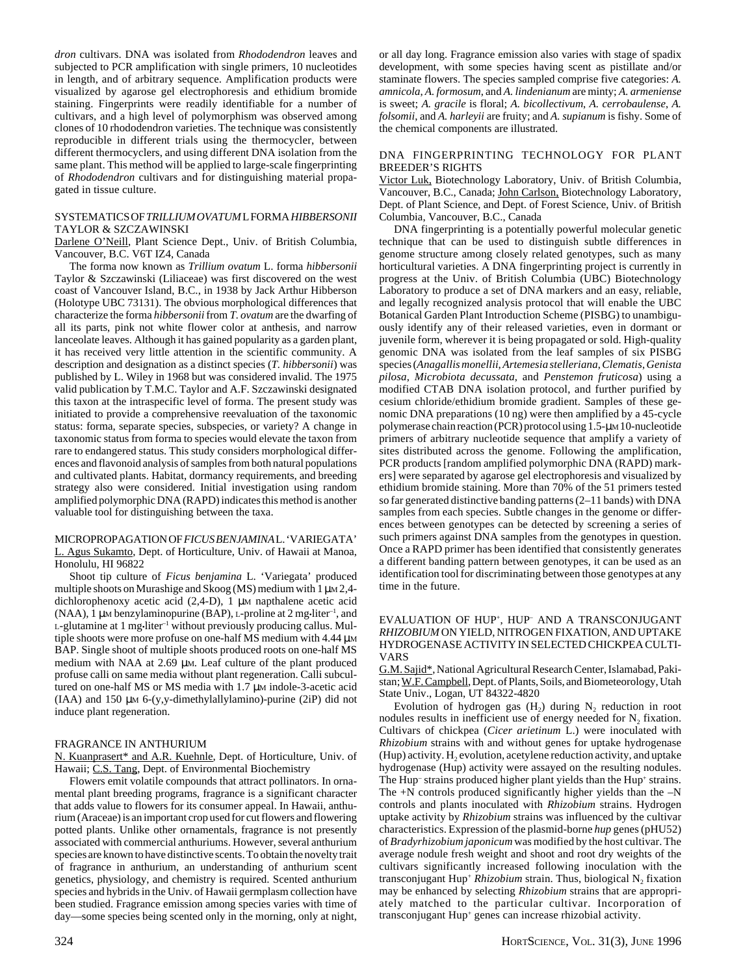*dron* cultivars. DNA was isolated from *Rhododendron* leaves and subjected to PCR amplification with single primers, 10 nucleotides in length, and of arbitrary sequence. Amplification products were visualized by agarose gel electrophoresis and ethidium bromide staining. Fingerprints were readily identifiable for a number of cultivars, and a high level of polymorphism was observed among clones of 10 rhododendron varieties. The technique was consistently reproducible in different trials using the thermocycler, between different thermocyclers, and using different DNA isolation from the same plant. This method will be applied to large-scale fingerprinting of *Rhododendron* cultivars and for distinguishing material propagated in tissue culture.

# SYSTEMATICS OF *TRILLIUM OVATUM* L FORMA *HIBBERSONII* TAYLOR & SZCZAWINSKI

Darlene O'Neill, Plant Science Dept., Univ. of British Columbia, Vancouver, B.C. V6T IZ4, Canada

The forma now known as *Trillium ovatum* L. forma *hibbersonii* Taylor & Szczawinski (Liliaceae) was first discovered on the west coast of Vancouver Island, B.C., in 1938 by Jack Arthur Hibberson (Holotype UBC 73131). The obvious morphological differences that characterize the forma *hibbersonii* from *T. ovatum* are the dwarfing of all its parts, pink not white flower color at anthesis, and narrow lanceolate leaves. Although it has gained popularity as a garden plant, it has received very little attention in the scientific community. A description and designation as a distinct species (*T. hibbersonii*) was published by L. Wiley in 1968 but was considered invalid. The 1975 valid publication by T.M.C. Taylor and A.F. Szczawinski designated this taxon at the intraspecific level of forma. The present study was initiated to provide a comprehensive reevaluation of the taxonomic status: forma, separate species, subspecies, or variety? A change in taxonomic status from forma to species would elevate the taxon from rare to endangered status. This study considers morphological differences and flavonoid analysis of samples from both natural populations and cultivated plants. Habitat, dormancy requirements, and breeding strategy also were considered. Initial investigation using random amplified polymorphic DNA (RAPD) indicates this method is another valuable tool for distinguishing between the taxa.

#### MICROPROPAGATION OF *FICUS BENJAMINA* L. 'VARIEGATA' L. Agus Sukamto, Dept. of Horticulture, Univ. of Hawaii at Manoa, Honolulu, HI 96822

Shoot tip culture of *Ficus benjamina* L. 'Variegata' produced multiple shoots on Murashige and Skoog (MS) medium with  $1 \mu \text{m}$  2,4dichlorophenoxy acetic acid (2,4-D), 1 µm napthalene acetic acid (NAA), 1 µM benzylaminopurine (BAP), L-proline at 2 mg•liter–1, and L-glutamine at 1 mg•liter<sup>-1</sup> without previously producing callus. Multiple shoots were more profuse on one-half MS medium with 4.44  $\mu$ M BAP. Single shoot of multiple shoots produced roots on one-half MS medium with NAA at 2.69 µm. Leaf culture of the plant produced profuse calli on same media without plant regeneration. Calli subcultured on one-half MS or MS media with 1.7 µM indole-3-acetic acid  $(IAA)$  and 150 µm 6- $(y,y$ -dimethylallylamino)-purine  $(2iP)$  did not induce plant regeneration.

#### FRAGRANCE IN ANTHURIUM

N. Kuanprasert\* and A.R. Kuehnle, Dept. of Horticulture, Univ. of Hawaii; C.S. Tang, Dept. of Environmental Biochemistry

Flowers emit volatile compounds that attract pollinators. In ornamental plant breeding programs, fragrance is a significant character that adds value to flowers for its consumer appeal. In Hawaii, anthurium (Araceae) is an important crop used for cut flowers and flowering potted plants. Unlike other ornamentals, fragrance is not presently associated with commercial anthuriums. However, several anthurium species are known to have distinctive scents. To obtain the novelty trait of fragrance in anthurium, an understanding of anthurium scent genetics, physiology, and chemistry is required. Scented anthurium species and hybrids in the Univ. of Hawaii germplasm collection have been studied. Fragrance emission among species varies with time of day—some species being scented only in the morning, only at night,

or all day long. Fragrance emission also varies with stage of spadix development, with some species having scent as pistillate and/or staminate flowers. The species sampled comprise five categories: *A. amnicola*, *A. formosum*, and *A. lindenianum* are minty; *A. armeniense* is sweet; *A. gracile* is floral; *A. bicollectivum*, *A. cerrobaulense*, *A. folsomii*, and *A. harleyii* are fruity; and *A. supianum* is fishy. Some of the chemical components are illustrated.

#### DNA FINGERPRINTING TECHNOLOGY FOR PLANT BREEDER'S RIGHTS

Victor Luk, Biotechnology Laboratory, Univ. of British Columbia, Vancouver, B.C., Canada; John Carlson, Biotechnology Laboratory, Dept. of Plant Science, and Dept. of Forest Science, Univ. of British Columbia, Vancouver, B.C., Canada

DNA fingerprinting is a potentially powerful molecular genetic technique that can be used to distinguish subtle differences in genome structure among closely related genotypes, such as many horticultural varieties. A DNA fingerprinting project is currently in progress at the Univ. of British Columbia (UBC) Biotechnology Laboratory to produce a set of DNA markers and an easy, reliable, and legally recognized analysis protocol that will enable the UBC Botanical Garden Plant Introduction Scheme (PISBG) to unambiguously identify any of their released varieties, even in dormant or juvenile form, wherever it is being propagated or sold. High-quality genomic DNA was isolated from the leaf samples of six PISBG species (*Anagallis monellii*, *Artemesia stelleriana*, *Clematis*, *Genista pilosa*, *Microbiota decussata*, and *Penstemon fruticosa*) using a modified CTAB DNA isolation protocol, and further purified by cesium chloride/ethidium bromide gradient. Samples of these genomic DNA preparations (10 ng) were then amplified by a 45-cycle polymerase chain reaction (PCR) protocol using 1.5-µM 10-nucleotide primers of arbitrary nucleotide sequence that amplify a variety of sites distributed across the genome. Following the amplification, PCR products [random amplified polymorphic DNA (RAPD) markers] were separated by agarose gel electrophoresis and visualized by ethidium bromide staining. More than 70% of the 51 primers tested so far generated distinctive banding patterns (2–11 bands) with DNA samples from each species. Subtle changes in the genome or differences between genotypes can be detected by screening a series of such primers against DNA samples from the genotypes in question. Once a RAPD primer has been identified that consistently generates a different banding pattern between genotypes, it can be used as an identification tool for discriminating between those genotypes at any time in the future.

# EVALUATION OF HUP<sup>+</sup>, HUP<sup>-</sup> AND A TRANSCONJUGANT *RHIZOBIUM* ON YIELD, NITROGEN FIXATION, AND UPTAKE HYDROGENASE ACTIVITY IN SELECTED CHICKPEA CULTI-VARS

G.M. Sajid\*, National Agricultural Research Center, Islamabad, Pakistan; W.F. Campbell, Dept. of Plants, Soils, and Biometeorology, Utah State Univ., Logan, UT 84322-4820

Evolution of hydrogen gas  $(H_2)$  during  $N_2$  reduction in root nodules results in inefficient use of energy needed for  $N_2$  fixation. Cultivars of chickpea (*Cicer arietinum* L.) were inoculated with *Rhizobium* strains with and without genes for uptake hydrogenase (Hup) activity.  $H_2$  evolution, acetylene reduction activity, and uptake hydrogenase (Hup) activity were assayed on the resulting nodules. The Hup<sup>-</sup> strains produced higher plant yields than the Hup<sup>+</sup> strains. The  $+N$  controls produced significantly higher yields than the  $-N$ controls and plants inoculated with *Rhizobium* strains. Hydrogen uptake activity by *Rhizobium* strains was influenced by the cultivar characteristics. Expression of the plasmid-borne *hup* genes (pHU52) of *Bradyrhizobium japonicum* was modified by the host cultivar. The average nodule fresh weight and shoot and root dry weights of the cultivars significantly increased following inoculation with the transconjugant Hup<sup>+</sup> *Rhizobium* strain. Thus, biological N<sub>2</sub> fixation may be enhanced by selecting *Rhizobium* strains that are appropriately matched to the particular cultivar. Incorporation of transconjugant Hup+ genes can increase rhizobial activity.